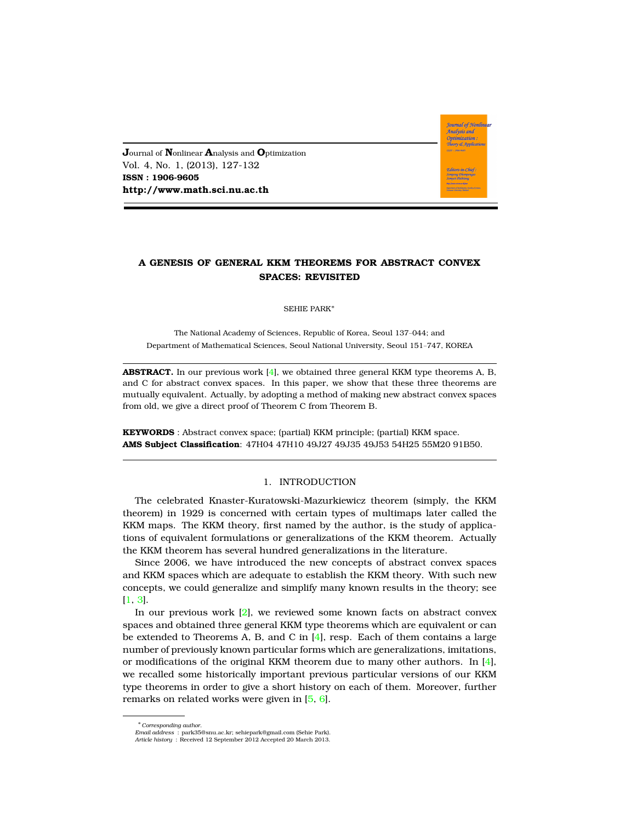**J**ournal of **N**onlinear **A**nalysis and **O**ptimization Vol. 4, No. 1, (2013), 127-132 **ISSN : 1906-9605 http://www.math.sci.nu.ac.th**

# **A GENESIS OF GENERAL KKM THEOREMS FOR ABSTRACT CONVEX SPACES: REVISITED**

**Journal of Nonlinear** .<br>Analysis and Optimization Theory & Applicatio

SEHIE PARK<sup>∗</sup>

The National Academy of Sciences, Republic of Korea, Seoul 137–044; and Department of Mathematical Sciences, Seoul National University, Seoul 151–747, KOREA

**ABSTRACT.** In our previous work [\[4\]](#page-5-0), we obtained three general KKM type theorems A, B, and C for abstract convex spaces. In this paper, we show that these three theorems are mutually equivalent. Actually, by adopting a method of making new abstract convex spaces from old, we give a direct proof of Theorem C from Theorem B.

**KEYWORDS** : Abstract convex space; (partial) KKM principle; (partial) KKM space. **AMS Subject Classification**: 47H04 47H10 49J27 49J35 49J53 54H25 55M20 91B50.

#### 1. INTRODUCTION

The celebrated Knaster-Kuratowski-Mazurkiewicz theorem (simply, the KKM theorem) in 1929 is concerned with certain types of multimaps later called the KKM maps. The KKM theory, first named by the author, is the study of applications of equivalent formulations or generalizations of the KKM theorem. Actually the KKM theorem has several hundred generalizations in the literature.

Since 2006, we have introduced the new concepts of abstract convex spaces and KKM spaces which are adequate to establish the KKM theory. With such new concepts, we could generalize and simplify many known results in the theory; see [\[1,](#page-5-1) [3\]](#page-5-2).

In our previous work [\[2\]](#page-5-3), we reviewed some known facts on abstract convex spaces and obtained three general KKM type theorems which are equivalent or can be extended to Theorems A, B, and C in [\[4\]](#page-5-0), resp. Each of them contains a large number of previously known particular forms which are generalizations, imitations, or modifications of the original KKM theorem due to many other authors. In  $[4]$ , we recalled some historically important previous particular versions of our KKM type theorems in order to give a short history on each of them. Moreover, further remarks on related works were given in [\[5,](#page-5-4) [6\]](#page-5-5).

<sup>∗</sup>*Corresponding author.*

*Email address* : park35@snu.ac.kr; sehiepark@gmail.com (Sehie Park). *Article history* : Received 12 September 2012 Accepted 20 March 2013.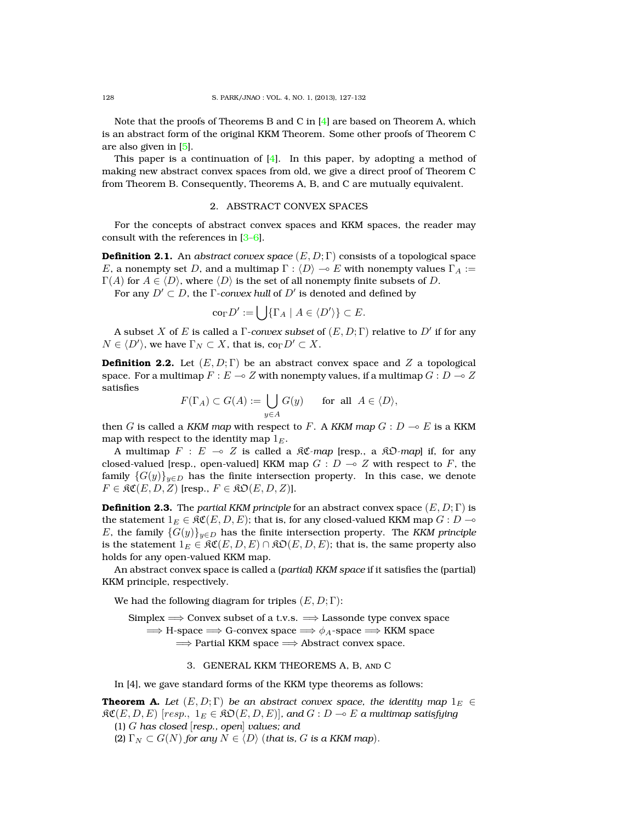Note that the proofs of Theorems B and C in  $[4]$  are based on Theorem A, which is an abstract form of the original KKM Theorem. Some other proofs of Theorem C are also given in [\[5\]](#page-5-4).

This paper is a continuation of  $[4]$ . In this paper, by adopting a method of making new abstract convex spaces from old, we give a direct proof of Theorem C from Theorem B. Consequently, Theorems A, B, and C are mutually equivalent.

## 2. ABSTRACT CONVEX SPACES

For the concepts of abstract convex spaces and KKM spaces, the reader may consult with the references in [\[3–](#page-5-2)[6\]](#page-5-5).

**Definition 2.1.** An *abstract convex space* (E, D; Γ) consists of a topological space E, a nonempty set D, and a multimap  $\Gamma : \langle D \rangle \to E$  with nonempty values  $\Gamma_A :=$  $\Gamma(A)$  for  $A \in \langle D \rangle$ , where  $\langle D \rangle$  is the set of all nonempty finite subsets of D.

For any  $D'\subset D$ , the  $\Gamma$ *-convex hull* of  $D'$  is denoted and defined by

$$
\operatorname{co}_{\Gamma} D':=\bigcup\{\Gamma_A\mid A\in \langle D'\rangle\}\subset E.
$$

A subset  $X$  of  $E$  is called a  $\Gamma$ *-convex subset* of  $(E,D;\Gamma)$  relative to  $D'$  if for any  $N \in \langle D' \rangle$ , we have  $\Gamma_N \subset X$ , that is, co $_\Gamma D' \subset X$ .

**Definition 2.2.** Let  $(E, D; \Gamma)$  be an abstract convex space and Z a topological space. For a multimap  $F : E \to Z$  with nonempty values, if a multimap  $G : D \to Z$ satisfies

$$
F(\Gamma_A) \subset G(A) := \bigcup_{y \in A} G(y) \quad \text{for all } A \in \langle D \rangle,
$$

then G is called a *KKM map* with respect to F. A *KKM map*  $G: D \multimap E$  is a *KKM* map with respect to the identity map  $1<sub>E</sub>$ .

A multimap  $F : E \multimap Z$  is called a  $\Re \mathfrak{C}$ -map [resp., a  $\Re \mathfrak{O}$ -map] if, for any closed-valued [resp., open-valued] KKM map  $G : D \to Z$  with respect to F, the family  ${G(y)}_{y\in D}$  has the finite intersection property. In this case, we denote  $F \in \mathfrak{RC}(E, D, Z)$  [resp.,  $F \in \mathfrak{RO}(E, D, Z)$ ].

**Definition 2.3.** The *partial KKM principle* for an abstract convex space  $(E, D; \Gamma)$  is the statement  $1_E \in \mathfrak{RC}(E, D, E)$ ; that is, for any closed-valued KKM map  $G : D \to$ E, the family  ${G(y)}_{y\in D}$  has the finite intersection property. The *KKM principle* is the statement  $1_E \in \mathfrak{RC}(E, D, E) \cap \mathfrak{RO}(E, D, E)$ ; that is, the same property also holds for any open-valued KKM map.

An abstract convex space is called a (*partial*) *KKM space* if it satisfies the (partial) KKM principle, respectively.

We had the following diagram for triples  $(E, D; \Gamma)$ :

Simplex  $\Longrightarrow$  Convex subset of a t.v.s.  $\Longrightarrow$  Lassonde type convex space  $\implies$  H-space  $\implies$  G-convex space  $\implies \phi_A$ -space  $\implies$  KKM space =⇒ Partial KKM space =⇒ Abstract convex space.

#### 3. GENERAL KKM THEOREMS A, B, and C

In [4], we gave standard forms of the KKM type theorems as follows:

**Theorem A.** *Let*  $(E, D; \Gamma)$  *be an abstract convex space, the identity map*  $1_E \in$  $\mathfrak{RC}(E, D, E)$  [resp.,  $1_E \in \mathfrak{RO}(E, D, E)$ ], and  $G : D \to E$  a multimap satisfying (1) G *has closed* [*resp., open*] *values; and*

(2)  $\Gamma_N \subset G(N)$  *for any*  $N \in \langle D \rangle$  (*that is, G is a KKM map*).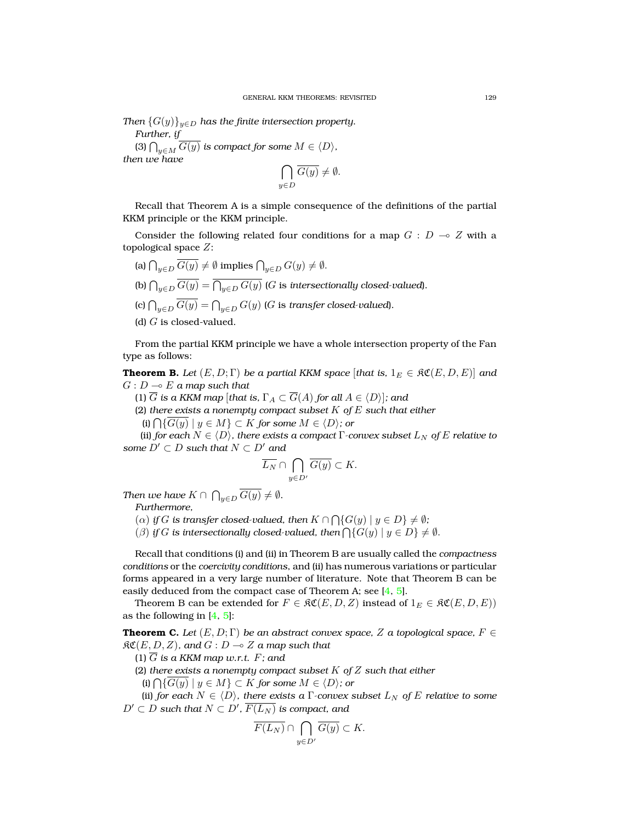*Then*  $\{G(y)\}_{y\in D}$  *has the finite intersection property. Further, if*

(3)  $\bigcap_{y\in M} G(y)$  *is compact for some*  $M \in \langle D \rangle$ *, then we have*

$$
\bigcap_{y \in D} \overline{G(y)} \neq \emptyset.
$$

Recall that Theorem A is a simple consequence of the definitions of the partial KKM principle or the KKM principle.

Consider the following related four conditions for a map  $G : D \multimap Z$  with a topological space Z:

- (a)  $\bigcap_{y\in D} G(y) \neq \emptyset$  implies  $\bigcap_{y\in D} G(y) \neq \emptyset$ .
- (b)  $\bigcap_{y\in D}G(y)=\bigcap_{y\in D}G(y)$  ( $G$  is *intersectionally closed-valued*).
- (c)  $\bigcap_{y\in D}G(y)=\bigcap_{y\in D}G(y)$  (G is *transfer closed-valued*).
- (d)  $G$  is closed-valued.

From the partial KKM principle we have a whole intersection property of the Fan type as follows:

**Theorem B.** *Let*  $(E, D; \Gamma)$  *be a partial KKM space* [*that is,*  $1_E \in \Re\mathfrak{C}(E, D, E)$ ] *and*  $G: D \longrightarrow E$  a map such that

(1)  $\overline{G}$  *is a KKM map* [*that is,*  $\Gamma_A \subset \overline{G}(A)$  *for all*  $A \in \langle D \rangle$ ]*; and* 

(2) *there exists a nonempty compact subset* K *of* E *such that either*

(i)  $\bigcap$ {*G*(*y*) | *y* ∈ *M*} ⊂ *K for some M* ∈  $\langle D \rangle$ *; or* 

(ii) *for each*  $N \in \langle D \rangle$ *, there exists a compact*  $\Gamma$ *-convex subset*  $L_N$  *of*  $E$  *relative to some*  $D' \subset D$  *such that*  $N \subset D'$  *and* 

$$
\overline{L_N}\cap \bigcap_{y\in D'}\overline{G(y)}\subset K.
$$

*Then we have*  $K \cap \bigcap_{y \in D} G(y) \neq \emptyset$ *.* 

*Furthermore,*

(a) if G is transfer closed-valued, then  $K \cap \bigcap \{G(y) \mid y \in D\} \neq \emptyset;$ 

( $\beta$ ) *if* G *is intersectionally closed-valued, then*  $\bigcap \{G(y) \mid y \in D\} \neq \emptyset$ .

Recall that conditions (i) and (ii) in Theorem B are usually called the *compactness conditions* or the *coercivity conditions*, and (ii) has numerous variations or particular forms appeared in a very large number of literature. Note that Theorem B can be easily deduced from the compact case of Theorem A; see [\[4,](#page-5-0) [5\]](#page-5-4).

Theorem B can be extended for  $F \in \mathfrak{RC}(E, D, Z)$  instead of  $1_E \in \mathfrak{RC}(E, D, E)$ ) as the following in  $[4, 5]$  $[4, 5]$  $[4, 5]$ :

**Theorem C.** *Let*  $(E, D; \Gamma)$  *be an abstract convex space,* Z *a topological space,*  $F \in$  $R\mathfrak{C}(E, D, Z)$ *, and*  $G: D \to Z$  *a map such that* 

(1)  $\overline{G}$  *is a KKM map w.r.t.*  $F$ *; and* 

(2) *there exists a nonempty compact subset* K *of* Z *such that either*

(i)  $\bigcap$ {*G*(*y*) | *y* ∈ *M*} ⊂ *K for some M* ∈  $\langle D \rangle$ ; or

(ii) *for each*  $N \in \langle D \rangle$ *, there exists a* Γ*-convex subset*  $L_N$  *of* E *relative to some*  $D'\subset D$  such that  $N\subset D'$ ,  $\overline{F(L_N)}$  is compact, and

$$
\overline{F(L_N)} \cap \bigcap_{y \in D'} \overline{G(y)} \subset K.
$$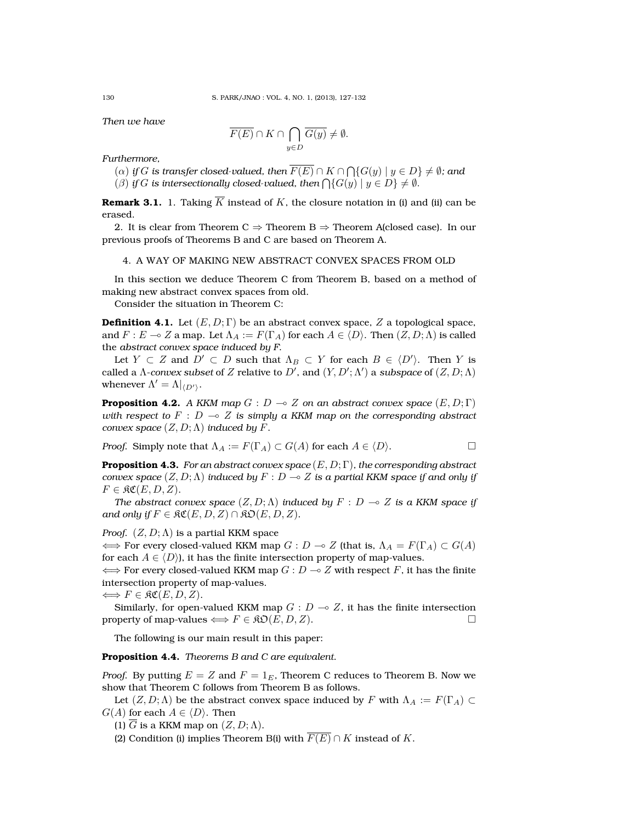*Then we have*

$$
\overline{F(E)} \cap K \cap \bigcap_{y \in D} \overline{G(y)} \neq \emptyset.
$$

*Furthermore,*

 $\Gamma(\alpha)$  *if*  $G$  *is transfer closed-valued, then*  $F(E) \cap K \cap \bigcap \{G(y) \mid y \in D\} \neq \emptyset$ *; and* ( $\beta$ ) *if*  $G$  *is intersectionally closed-valued, then*  $\bigcap \{G(y) \mid y \in D\} \neq \emptyset$ *.* 

**Remark 3.1.** 1. Taking  $\overline{K}$  instead of K, the closure notation in (i) and (ii) can be erased.

2. It is clear from Theorem C  $\Rightarrow$  Theorem B  $\Rightarrow$  Theorem A(closed case). In our previous proofs of Theorems B and C are based on Theorem A.

4. A WAY OF MAKING NEW ABSTRACT CONVEX SPACES FROM OLD

In this section we deduce Theorem C from Theorem B, based on a method of making new abstract convex spaces from old.

Consider the situation in Theorem C:

**Definition 4.1.** Let  $(E, D; \Gamma)$  be an abstract convex space, Z a topological space, and  $F: E \to Z$  a map. Let  $\Lambda_A := F(\Gamma_A)$  for each  $A \in \langle D \rangle$ . Then  $(Z, D; \Lambda)$  is called the *abstract convex space induced by F*.

Let  $Y \subset Z$  and  $D' \subset D$  such that  $\Lambda_B \subset Y$  for each  $B \in \langle D' \rangle$ . Then Y is called a  $\Lambda$ -*convex subset* of  $Z$  relative to  $D'$ , and  $(Y, D'; \Lambda')$  a *subspace* of  $(Z, D; \Lambda)$ whenever  $\Lambda' = \Lambda|_{\langle D' \rangle}$ .

**Proposition 4.2.** *A KKM map*  $G : D \to Z$  *on an abstract convex space*  $(E, D; \Gamma)$ *with respect to*  $F : D \to Z$  *is simply a KKM map on the corresponding abstract convex space*  $(Z, D; \Lambda)$  *induced by* F.

*Proof.* Simply note that  $\Lambda_A := F(\Gamma_A) \subset G(A)$  for each  $A \in \langle D \rangle$ .

**Proposition 4.3.** *For an abstract convex space* (E, D; Γ)*, the corresponding abstract convex space*  $(Z, D; \Lambda)$  *induced by*  $F : D \to Z$  *is a partial KKM space if and only if*  $F \in \mathfrak{RC}(E, D, Z)$ .

*The abstract convex space*  $(Z, D; \Lambda)$  *induced by*  $F : D \to Z$  *is a KKM space if and only if*  $F \in \mathfrak{RC}(E, D, Z) \cap \mathfrak{RO}(E, D, Z)$ *.* 

*Proof.*  $(Z, D; \Lambda)$  is a partial KKM space

 $\iff$  For every closed-valued KKM map  $G : D \to Z$  (that is,  $\Lambda_A = F(\Gamma_A) \subset G(A)$ ) for each  $A \in \langle D \rangle$ , it has the finite intersection property of map-values.

 $\iff$  For every closed-valued KKM map  $G : D \to Z$  with respect F, it has the finite intersection property of map-values.

 $\Longleftrightarrow F \in \mathfrak{RC}(E, D, Z).$ 

Similarly, for open-valued KKM map  $G: D \to Z$ , it has the finite intersection property of map-values  $\Longleftrightarrow$   $F \in \mathfrak{RO}(E, D, Z)$ .

The following is our main result in this paper:

**Proposition 4.4.** *Theorems B and C are equivalent.*

*Proof.* By putting  $E = Z$  and  $F = 1_E$ , Theorem C reduces to Theorem B. Now we show that Theorem C follows from Theorem B as follows.

Let  $(Z, D; \Lambda)$  be the abstract convex space induced by F with  $\Lambda_A := F(\Gamma_A) \subset$  $G(A)$  for each  $A \in \langle D \rangle$ . Then

(1)  $\overline{G}$  is a KKM map on  $(Z, D; \Lambda)$ .

(2) Condition (i) implies Theorem B(i) with  $\overline{F(E)} \cap K$  instead of K.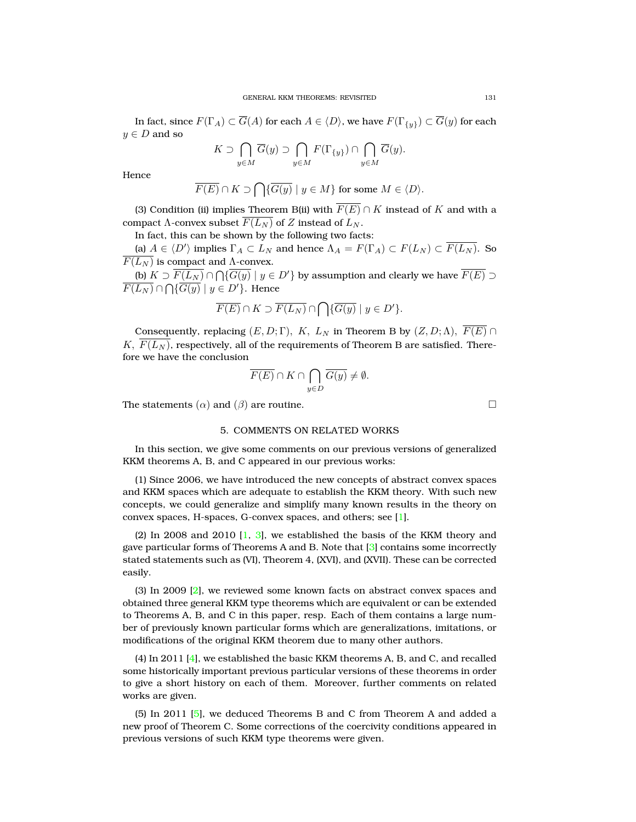In fact, since  $F(\Gamma_A) \subset \overline{G}(A)$  for each  $A \in \langle D \rangle$ , we have  $F(\Gamma_{\{y\}}) \subset \overline{G}(y)$  for each  $y \in D$  and so

$$
K \supset \bigcap_{y \in M} \overline{G}(y) \supset \bigcap_{y \in M} F(\Gamma_{\{y\}}) \cap \bigcap_{y \in M} \overline{G}(y).
$$

Hence

$$
\overline{F(E)} \cap K \supset \bigcap \{ \overline{G(y)} \mid y \in M \} \text{ for some } M \in \langle D \rangle.
$$

(3) Condition (ii) implies Theorem B(ii) with  $\overline{F(E)} \cap K$  instead of K and with a compact  $\Lambda$ -convex subset  $\overline{F(L_N)}$  of Z instead of  $L_N$ .

In fact, this can be shown by the following two facts:

(a)  $A \in \langle D' \rangle$  implies  $\Gamma_A \subset L_N$  and hence  $\Lambda_A = F(\Gamma_A) \subset F(L_N) \subset \overline{F(L_N)}$ . So  $F(L_N)$  is compact and  $\Lambda$ -convex.

(b)  $K\supset \overline{F(L_N)}\cap \bigcap \{\overline{G(y)}\mid y\in D'\}$  by assumption and clearly we have  $\overline{F(E)}\supset$  $\overline{F(L_N)} \cap \bigcap {\overline{G(y)}} \mid y \in D' \}.$  Hence

$$
\overline{F(E)} \cap K \supset \overline{F(L_N)} \cap \bigcap \{\overline{G(y)} \mid y \in D'\}.
$$

Consequently, replacing  $(E, D; \Gamma)$ , K,  $L_N$  in Theorem B by  $(Z, D; \Lambda)$ ,  $\overline{F(E)} \cap$  $K, F(L_N)$ , respectively, all of the requirements of Theorem B are satisfied. Therefore we have the conclusion

$$
\overline{F(E)} \cap K \cap \bigcap_{y \in D} \overline{G(y)} \neq \emptyset.
$$

The statements  $(\alpha)$  and  $(\beta)$  are routine.

## 5. COMMENTS ON RELATED WORKS

In this section, we give some comments on our previous versions of generalized KKM theorems A, B, and C appeared in our previous works:

(1) Since 2006, we have introduced the new concepts of abstract convex spaces and KKM spaces which are adequate to establish the KKM theory. With such new concepts, we could generalize and simplify many known results in the theory on convex spaces, H-spaces, G-convex spaces, and others; see [\[1\]](#page-5-1).

(2) In 2008 and 2010  $[1, 3]$  $[1, 3]$  $[1, 3]$ , we established the basis of the KKM theory and gave particular forms of Theorems A and B. Note that [\[3\]](#page-5-2) contains some incorrectly stated statements such as (VI), Theorem 4, (XVI), and (XVII). These can be corrected easily.

(3) In 2009 [\[2\]](#page-5-3), we reviewed some known facts on abstract convex spaces and obtained three general KKM type theorems which are equivalent or can be extended to Theorems A, B, and C in this paper, resp. Each of them contains a large number of previously known particular forms which are generalizations, imitations, or modifications of the original KKM theorem due to many other authors.

(4) In 2011 [\[4\]](#page-5-0), we established the basic KKM theorems A, B, and C, and recalled some historically important previous particular versions of these theorems in order to give a short history on each of them. Moreover, further comments on related works are given.

(5) In 2011 [\[5\]](#page-5-4), we deduced Theorems B and C from Theorem A and added a new proof of Theorem C. Some corrections of the coercivity conditions appeared in previous versions of such KKM type theorems were given.